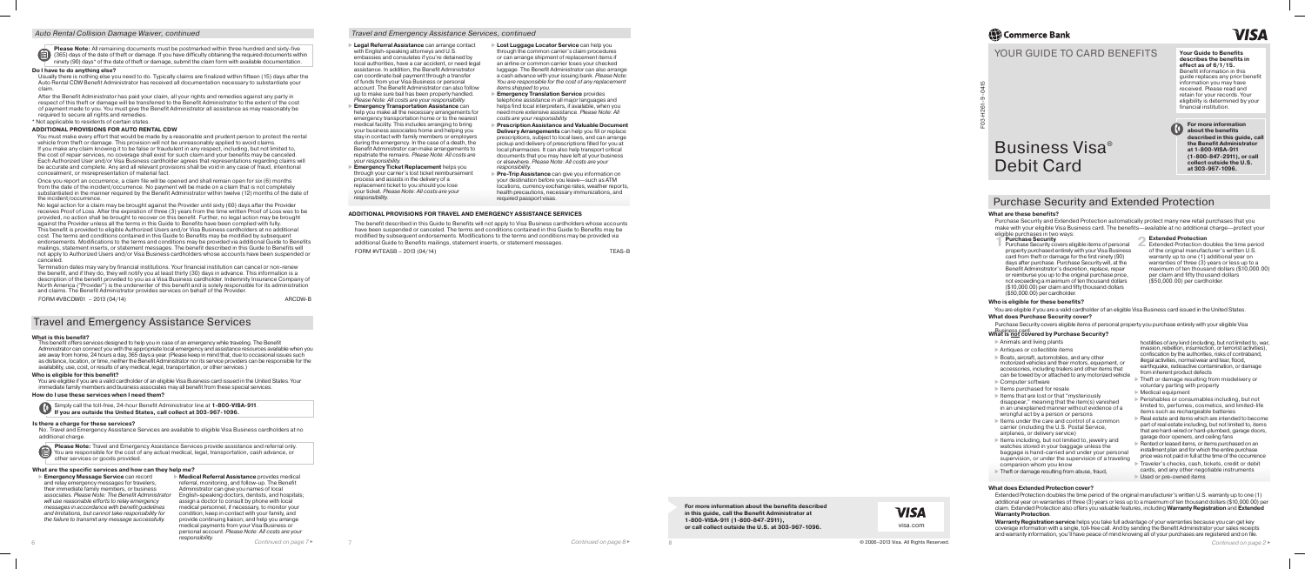

# F03-H261-9 -0415

Purchase Security and Extended Protection automatically protect many new retail purchases that you make with your eligible Visa Business card. The benefits—available at no additional charge—protect your eligible purchases in two ways:<br>
Purchase Security

#### **What are these benefits?**

# YOUR GUIDE TO CARD BENEFITS

# Business Visa ® Debit Card

**Your Guide to Benefits** 

**describes the benefits in effect as of 6/1/15.** Benefit information in this guide replaces any prior benefit information you may have received. Please read and retain for your records. Your eligibility is determined by your financial institution.

VISΔ

**For more information about the benefits described in this guide, call the Benefit Administrator at 1-800-VISA-911 (1-800-847-2911), or call collect outside the U.S. at 303-967-1096.**

# Purchase Security and Extended Protection

#### **Who is eligible for these benefits?**

You are eligible if you are a valid cardholder of an eligible Visa Business card issued in the United States.

- Animals and living plants
- Antiques or collectible items
- ▶ Boats, aircraft, automobiles, and any other motorized vehicles and their motors, equipment, or accessories, including trailers and other items that can be towed by or attached to any motorized vehicle **► Computer software**
- $\blacktriangleright$  Items purchased for resale
- $\blacktriangleright$  Items that are lost or that "mysteriously disappear," meaning that the item(s) vanished
- in an unexplained manner without evidence of a wrongful act by a person or persons  $\blacktriangleright$  Items under the care and control of a common
- carrier (including the U.S. Postal Service, airplanes, or delivery service)  $\blacktriangleright$  Items including, but not limited to, jewelry and
- watches stored in your baggage unless the baggage is hand-carried and under your personal supervision, or under the supervision of a traveling companion whom you know
- Theft or damage resulting from abuse, fraud,

#### **What does Purchase Security cover?**

Purchase Security covers eligible items of personal property you purchase entirely with your eligible Visa

**1 Purchase Security** Purchase Security covers eligible items of personal property purchased entirely with your Visa Business card from theft or damage for the first ninety (90) days after purchase. Purchase Security will, at the Benefit Administrator's discretion, replace, repair or reimburse you up to the original purchase price, not exceeding a maximum of ten thousand dollars (\$10,000.00) per claim and fifty thousand dollars (\$50,000.00) per cardholder.

#### Business card. **What is not covered by Purchase Security?**

**2 Extended Protection** Extended Protection doubles the time period of the original manufacturer's written U.S. warranty up to one (1) additional year on warranties of three (3) years or less up to a maximum of ten thousand dollars (\$10,000.00) per claim and fifty thousand dollars (\$50,000.00) per cardholder.

- hostilities of any kind (including, but not limited to, war, invasion, rebellion, insurrection, or terrorist activities), confiscation by the authorities, risks of contraband,
- illegal activities, normal wear and tear, flood, earthquake, radioactive contamination, or damage from inherent product defects Theft or damage resulting from misdelivery or
- voluntary parting with property Medical equipment
- **Perishables or consumables including, but not** limited to, perfumes, cosmetics, and limited-life items such as rechargeable batteries
- Real estate and items which are intended to become part of real estate including, but not limited to, items that are hard-wired or hard-plumbed, garage doors, garage door openers, and ceiling fans
- $\triangleright$  Rented or leased items, or items purchased on an installment plan and for which the entire purchase price was not paid in full at the time of the occurrence
- Traveler's checks, cash, tickets, credit or debit cards, and any other negotiable instruments
- Used or pre-owned items

#### **What does Extended Protection cover?**

Extended Protection doubles the time period of the original manufacturer's written U.S. warranty up to one (1) additional year on warranties of three (3) years or less up to a maximum of ten thousand dollars (\$10,000.00) per claim. Extended Protection also offers you valuable features, including **Warranty Registration** and **Extended Warranty Protection**.

**Warranty Registration service** helps you take full advantage of your warranties because you can get key coverage information with a single, toll-free call. And by sending the Benefit Administrator your sales receipts and warranty information, you'll have peace of mind knowing all of your purchases are registered and on file.

- **Lost Luggage Locator Service** can help you through the common carrier's claim procedures or can arrange shipment of replacement items if an airline or common carrier loses your checked luggage. The Benefit Administrator can also arrange a cash advance with your issuing bank. *Please Note: You are responsible for the cost of any replacement items shipped to you.*
- **Emergency Translation Service** provides telephone assistance in all major languages and helps find local interpreters, if available, when you need more extensive assistance. *Please Note: All costs are your responsibility.*
- **Prescription Assistance and Valuable Document Delivery Arrangements** can help you fill or replace prescriptions, subject to local laws, and can arrange pickup and delivery of prescriptions filled for you at local pharmacies. It can also help transport critical documents that you may have left at your business or elsewhere. *Please Note: All costs are your responsibility.*
- **Pre-Trip Assistance** can give you information on your destination before you leave—such as ATM locations, currency exchange rates, weather reports, health precautions, necessary immunizations, and required passport visas.



**For more information about the benefits described in this guide, call the Benefit Administrator at 1-800-VISA-911 (1-800-847-2911), or call collect outside the U.S. at 303-967-1096.**

#### **What is this benefit?**

This benefit offers services designed to help you in case of an emergency while traveling. The Benefit Administrator can connect you with the appropriate local emergency and assistance resources available when you are away from home, 24 hours a day, 365 days a year. (Please keep in mind that, due to occasional issues such as distance, location, or time, neither the Benefit Administrator nor its service providers can be responsible for the availability, use, cost, or results of any medical, legal, transportation, or other services.)

#### **Who is eligible for this benefit?**

You are eligible if you are a valid cardholder of an eligible Visa Business card issued in the United States. Your immediate family members and business associates may all benefit from these special services.

#### **How do I use these services when I need them?**

# Travel and Emergency Assistance Services

- **Legal Referral Assistance** can arrange contact with English-speaking attorneys and U.S. embassies and consulates if you're detained by local authorities, have a car accident, or need legal assistance. In addition, the Benefit Administrator can coordinate bail payment through a transfer of funds from your Visa Business or personal account. The Benefit Administrator can also follow up to make sure bail has been properly handled. *Please Note: All costs are your responsibility.*
- **Emergency Transportation Assistance** can help you make all the necessary arrangements for emergency transportation home or to the nearest medical facility. This includes arranging to bring your business associates home and helping you stay in contact with family members or employers during the emergency. In the case of a death, the Benefit Administrator can make arrangements to repatriate the remains. *Please Note: All costs are your responsibility.*
- **Emergency Ticket Replacement** helps you through your carrier's lost ticket reimbursement process and assists in the delivery of a replacement ticket to you should you lose your ticket. *Please Note: All costs are your responsibility.*

Simply call the toll-free, 24-hour Benefit Administrator line at **1-800-VISA-911**. **If you are outside the United States, call collect at 303-967-1096.**

No. Travel and Emergency Assistance Services are available to eligible Visa Business cardholders at no additional charge.

**Please Note:** Travel and Emergency Assistance Services provide assistance and referral only. You are responsible for the cost of any actual medical, legal, transportation, cash advance, or other services or goods provided.

 **Emergency Message Service** can record and relay emergency messages for travelers, their immediate family members, or business associates. *Please Note: The Benefit Administrator will use reasonable efforts to relay emergency messages in accordance with benefit guidelines and limitations, but cannot take responsibility for the failure to transmit any message successfully.*

 **Medical Referral Assistance** provides medical referral, monitoring, and follow-up. The Benefit Administrator can give you names of local English-speaking doctors, dentists, and hospitals; assign a doctor to consult by phone with local medical personnel, if necessary, to monitor your condition; keep in contact with your family, and provide continuing liaison; and help you arrange medical payments from your Visa Business or personal account. *Please Note: All costs are your responsibility.*

#### **ADDITIONAL PROVISIONS FOR TRAVEL AND EMERGENCY ASSISTANCE SERVICES**

The benefit described in this Guide to Benefits will not apply to Visa Business cardholders whose accounts have been suspended or canceled. The terms and conditions contained in this Guide to Benefits may be modified by subsequent endorsements. Modifications to the terms and conditions may be provided via additional Guide to Benefits mailings, statement inserts, or statement messages.

FORM #VTEASB – 2013 (04/14) TEAS-B

# (B) Commerce Bank

#### *Auto Rental Collision Damage Waiver, continued Travel and Emergency Assistance Services, continued*

#### **Do I have to do anything else?**

Usually there is nothing else you need to do. Typically claims are finalized within fifteen (15) days after the Auto Rental CDW Benefit Administrator has received all documentation necessary to substantiate your claim.

After the Benefit Administrator has paid your claim, all your rights and remedies against any party in respect of this theft or damage will be transferred to the Benefit Administrator to the extent of the cost of payment made to you. You must give the Benefit Administrator all assistance as may reasonably be required to secure all rights and remedies.

\* Not applicable to residents of certain states.

#### **ADDITIONAL PROVISIONS FOR AUTO RENTAL CDW**

You must make every effort that would be made by a reasonable and prudent person to protect the rental vehicle from theft or damage. This provision will not be unreasonably applied to avoid claims. If you make any claim knowing it to be false or fraudulent in any respect, including, but not limited to, the cost of repair services, no coverage shall exist for such claim and your benefits may be canceled. Each Authorized User and/or Visa Business cardholder agrees that representations regarding claims will be accurate and complete. Any and all relevant provisions shall be void in any case of fraud, intentional concealment, or misrepresentation of material fact.

Once you report an occurrence, a claim file will be opened and shall remain open for six (6) months from the date of the incident/occurrence. No payment will be made on a claim that is not completely substantiated in the manner required by the Benefit Administrator within twelve (12) months of the date of the incident/occurrence.

No legal action for a claim may be brought against the Provider until sixty (60) days after the Provider receives Proof of Loss. After the expiration of three (3) years from the time written Proof of Loss was to be provided, no action shall be brought to recover on this benefit. Further, no legal action may be brought against the Provider unless all the terms in this Guide to Benefits have been complied with fully. This benefit is provided to eligible Authorized Users and/or Visa Business cardholders at no additional

cost. The terms and conditions contained in this Guide to Benefits may be modified by subsequent endorsements. Modifications to the terms and conditions may be provided via additional Guide to Benefits mailings, statement inserts, or statement messages. The benefit described in this Guide to Benefits will not apply to Authorized Users and/or Visa Business cardholders whose accounts have been suspended or canceled.

Termination dates may vary by financial institutions. Your financial institution can cancel or non-renew the benefit, and if they do, they will notify you at least thirty (30) days in advance. This information is a description of the benefit provided to you as a Visa Business cardholder. Indemnity Insurance Company of North America ("Provider") is the underwriter of this benefit and is solely responsible for its administration and claims. The Benefit Administrator provides services on behalf of the Provider.

FORM #VBCDW01 - 2013 (04/14) ARCDW-B



**Please Note:** All remaining documents must be postmarked within three hundred and sixty-five  $\blacksquare$  (365) days of the date of theft or damage. If you have difficulty obtaining the required documents within ninety (90) days\* of the date of theft or damage, submit the claim form with available documentation.

#### **What are the specific services and how can they help me?**

#### **Is there a charge for these services?**